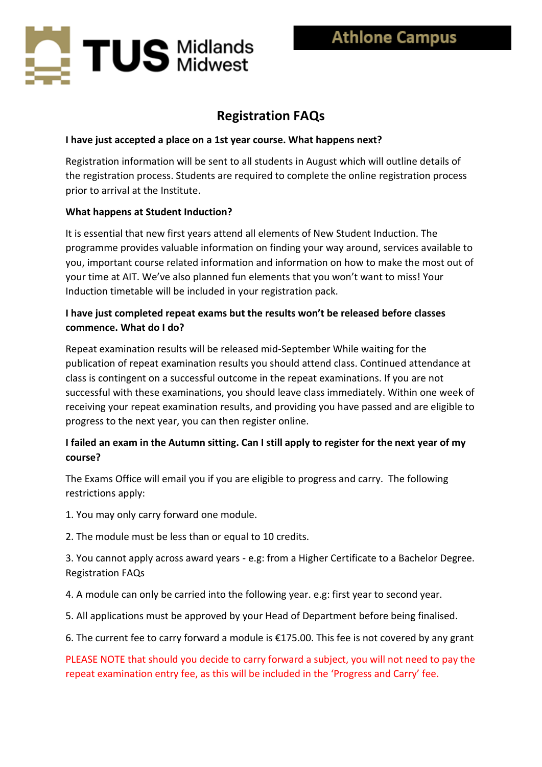

# **Registration FAQs**

#### **I have just accepted a place on a 1st year course. What happens next?**

Registration information will be sent to all students in August which will outline details of the registration process. Students are required to complete the online registration process prior to arrival at the Institute.

## **What happens at Student Induction?**

It is essential that new first years attend all elements of New Student Induction. The programme provides valuable information on finding your way around, services available to you, important course related information and information on how to make the most out of your time at AIT. We've also planned fun elements that you won't want to miss! Your Induction timetable will be included in your registration pack.

## **I have just completed repeat exams but the results won't be released before classes commence. What do I do?**

Repeat examination results will be released mid-September While waiting for the publication of repeat examination results you should attend class. Continued attendance at class is contingent on a successful outcome in the repeat examinations. If you are not successful with these examinations, you should leave class immediately. Within one week of receiving your repeat examination results, and providing you have passed and are eligible to progress to the next year, you can then register online.

# **I failed an exam in the Autumn sitting. Can I still apply to register for the next year of my course?**

The Exams Office will email you if you are eligible to progress and carry. The following restrictions apply:

1. You may only carry forward one module.

2. The module must be less than or equal to 10 credits.

3. You cannot apply across award years - e.g: from a Higher Certificate to a Bachelor Degree. Registration FAQs

4. A module can only be carried into the following year. e.g: first year to second year.

- 5. All applications must be approved by your Head of Department before being finalised.
- 6. The current fee to carry forward a module is  $£175.00$ . This fee is not covered by any grant

PLEASE NOTE that should you decide to carry forward a subject, you will not need to pay the repeat examination entry fee, as this will be included in the 'Progress and Carry' fee.